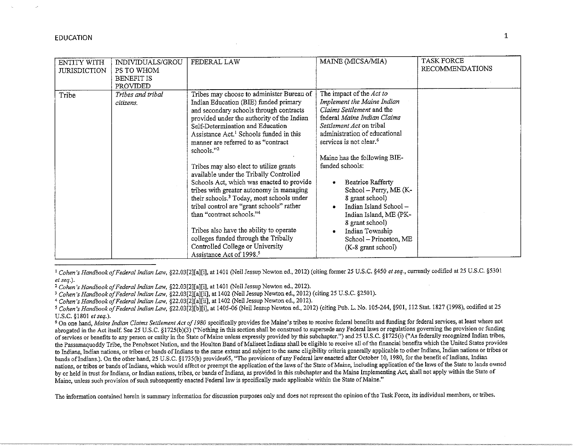| ENTITY WITH<br><b>JURISDICTION</b> | INDIVIDUALS/GROU<br>PS TO WHOM<br><b>BENEFIT IS</b><br>PROVIDED | FEDERAL LAW                                                                                                                                                                                                                                                                                                                                                                                                                                                                                                                                                                                                                                                                                                                                                                                                              | MAINE (MICSA/MIA)                                                                                                                                                                                                                                                                                                                                                                                                                                                                    | <b>TASK FORCE</b><br><b>RECOMMENDATIONS</b> |
|------------------------------------|-----------------------------------------------------------------|--------------------------------------------------------------------------------------------------------------------------------------------------------------------------------------------------------------------------------------------------------------------------------------------------------------------------------------------------------------------------------------------------------------------------------------------------------------------------------------------------------------------------------------------------------------------------------------------------------------------------------------------------------------------------------------------------------------------------------------------------------------------------------------------------------------------------|--------------------------------------------------------------------------------------------------------------------------------------------------------------------------------------------------------------------------------------------------------------------------------------------------------------------------------------------------------------------------------------------------------------------------------------------------------------------------------------|---------------------------------------------|
| Tribe                              | Tribes and tribal<br>citizens.                                  | Tribes may choose to administer Bureau of<br>Indian Education (BIE) funded primary<br>and secondary schools through contracts<br>provided under the authority of the Indian<br>Self-Determination and Education<br>Assistance Act. <sup>1</sup> Schools funded in this<br>manner are referred to as "contract<br>schools."2<br>Tribes may also elect to utilize grants<br>available under the Tribally Controlled<br>Schools Act, which was enacted to provide<br>tribes with greater autonomy in managing<br>their schools. <sup>3</sup> Today, most schools under<br>tribal control are "grant schools" rather<br>than "contract schools." <sup>4</sup><br>Tribes also have the ability to operate<br>colleges funded through the Tribally<br>Controlled College or University<br>Assistance Act of 1998. <sup>5</sup> | The impact of the Act to<br>Implement the Maine Indian<br>Claims Settlement and the<br>federal Maine Indian Claims<br>Settlement Act on tribal<br>administration of educational<br>services is not clear. <sup>6</sup><br>Maine has the following BIE-<br>funded schools:<br>Beatrice Rafferty<br>School - Perry, ME (K-<br>8 grant school)<br>Indian Island School-<br>Indian Island, ME (PK-<br>8 grant school)<br>Indian Township<br>School – Princeton, ME<br>(K-8 grant school) |                                             |

<sup>1</sup>*Cohen's Handbook of Federal Indian Law,* §22.03[2][a][i], at 1401 (Neil Jessup Newton ed., 2012) (citing former 25 U.S.C. §450 *et seq.,* currently codified at 25 U.S.C. §5301 *et seq.).* 

<sup>2</sup>*Cohen's Handbook of Federal Indian Law,* §22.03[2][a][i], at 1401 (Neil Jessup Newton ed., 2012).

*'Cohen's Handbook of Federal Indian Law,* §22.03[2][a][ii], at 1402 (Neil Jessup Newton ed., 2012) (citing 25 U.S.C. §2501).

The information contained herein is summary information for discussion purposes only and does not represent the opinion of the Task Force, its individual members, or tribes.

<sup>4</sup>*Cohen's Handbook of Federal Indian Law,* §22.03[2][a][ii], at 1402 (Neil Jessup Newton ed., 2012).

*<sup>5</sup> Cohen's Handbook of Federal Indian Law,* §22.03[2][b][i], at 1405-06 (Neil Jessup Newton ed., 2012) (citing Pub. L. No. 105-244, §901, 112 Stat 1827 (1998), codified at 25 U.S.C. §1801 *et seq.).* 

<sup>&</sup>lt;sup>6</sup> On one hand, *Maine Indian Claims Settlement Act of 1980* specifically provides foe Maine's tribes to receive federal benefits and funding for federal services, at least where not abrogated in the Act itself. See 25 U.S.C. §1725(b)(3) ("Nothing in this section shall be construed to supersede any Federal laws or regulations governing the provision or funding of services or benefits to any person or entity in the State of Maine unless expressly provided by this subchapter.") and 25 U.S.C. §1725(i) ("As federally recognized Indian tribes, the Passamaquoddy Tribe, the Penobscot Nation, and the Houlton Band of Maliseet Indians shall be eligible to receive all of the financial benefits which the United States provides to Indians, Indian nations, or tribes or bands of Indians to the same extent and subject to the same eligibility criteria generally applicable to other Indians, Indian nations or tribes or bands of Indians.). On the other hand, 25 U.S.C. §1735(b) provides65, "The provisions of any Federal law enacted after October 10, 1980, for the benefit of Indians, Indian nations, or tribes or bands of Indians, which would affect or preempt the application of the laws of the State of Maine, including application of the laws of the State to lands owned by or held in trust for Indians, or Indian nations, tribes, or bands of Indians, as provided in this subchapter and the Maine Implementing Act, shall not apply within the State of Maine, unless such provision of such subsequently enacted Federal law is specifically made applicable within the State of Maine."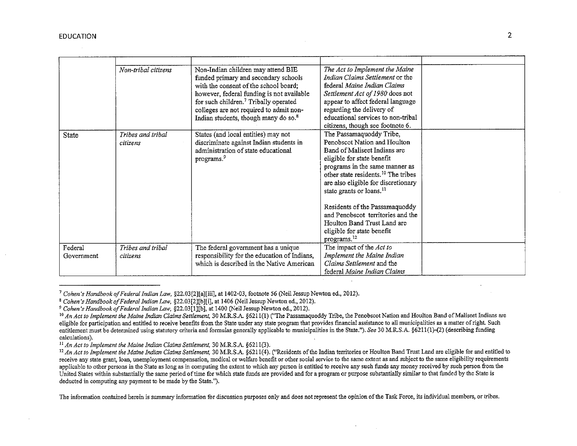|                       | Non-tribal citizens           | Non-Indian children may attend BIE<br>funded primary and secondary schools<br>with the consent of the school board;<br>however, federal funding is not available<br>for such children. <sup>7</sup> Tribally operated<br>colleges are not required to admit non-<br>Indian students, though many do so. <sup>8</sup> | The Act to Implement the Maine<br><i>Indian Claims Settlement</i> or the<br>federal Maine Indian Claims<br>Settlement Act of 1980 does not<br>appear to affect federal language<br>regarding the delivery of<br>educational services to non-tribal<br>citizens, though see footnote 6.                                       |  |
|-----------------------|-------------------------------|----------------------------------------------------------------------------------------------------------------------------------------------------------------------------------------------------------------------------------------------------------------------------------------------------------------------|------------------------------------------------------------------------------------------------------------------------------------------------------------------------------------------------------------------------------------------------------------------------------------------------------------------------------|--|
| State                 | Tribes and tribal<br>citizens | States (and local entities) may not<br>discriminate against Indian students in<br>administration of state educational<br>programs. <sup>9</sup>                                                                                                                                                                      | The Passamaquoddy Tribe,<br>Penobscot Nation and Houlton<br>Band of Maliseet Indians are<br>eligible for state benefit<br>programs in the same manner as<br>other state residents. <sup>10</sup> The tribes<br>are also eligible for discretionary<br>state grants or loans. <sup>11</sup><br>Residents of the Passamaquoddy |  |
|                       |                               |                                                                                                                                                                                                                                                                                                                      | and Penobscot territories and the<br>Houlton Band Trust Land are<br>eligible for state benefit<br>programs. <sup>12</sup>                                                                                                                                                                                                    |  |
| Federal<br>Government | Tribes and tribal<br>citizens | The federal government has a unique<br>responsibility for the education of Indians,<br>which is described in the Native American                                                                                                                                                                                     | The impact of the Act to<br>Implement the Maine Indian<br>Claims Settlement and the<br>federal Maine Indian Claims                                                                                                                                                                                                           |  |

<sup>7</sup>*Cohen's Handbook of Federal Indian Law,* §22.03[2J[a][iii], at 1402-03, footnote 56 (Neil Jessup Newton ed., 2012).

**The information contained herein is summary information for discussion purposes only and does not represent the opinion of the Task Force, its individual members, or tribes.** 

<sup>8</sup> *Cohen's Handbook of Federal Indian Law,* §22.03[2J[b][i], at 1406 (Neil Jessup Newton ed., 2012).

<sup>9</sup>*Cohen's Handbook of Federal Indian Law,* §22.03[1J[b], at 1400 (Neil Jessup Newton ed., 2012).

<sup>&</sup>lt;sup>10</sup> An Act to Implement the Maine Indian Claims Settlement, 30 M.R.S.A. §6211(1) ("The Passamaquoddy Tribe, the Penobscot Nation and Houlton Band of Maliseet Indians are **eligible for participation and entitled to receive benefits from the State under any state program that provides financial assistance to all municipalities as a matter of right. Such entitlement must be determined using statutory criteria and formulas generally applicable to municipalities in the State.").** *See* **30 M.R.S.A. §6211(1)-(2) (describing funding calculations).** 

II *An Act to Implement the Maine Indian Claims Settlement,* 30 M.R.S.A. §6211(3).

<sup>&</sup>lt;sup>12</sup> An Act to Implement the Maine Indian Claims Settlement, 30 M.R.S.A. §6211(4). ("Residents of the Indian territories or Houlton Band Trust Land are eligible for and entitled to **receive any state grant, loan, unemployment compensation, medical or welfare benefit or other social service to the same extent as and subject to the same eligibility requirements applicable to other persons in the State as long as in computing the extent to which any person is entitled to receive any such funds any money received by such person from the United States within substantially the same period of time for which state funds are provided and for a program or purpose substantially similar to that funded by the State is deducted in computing any payment to be made by the State.").**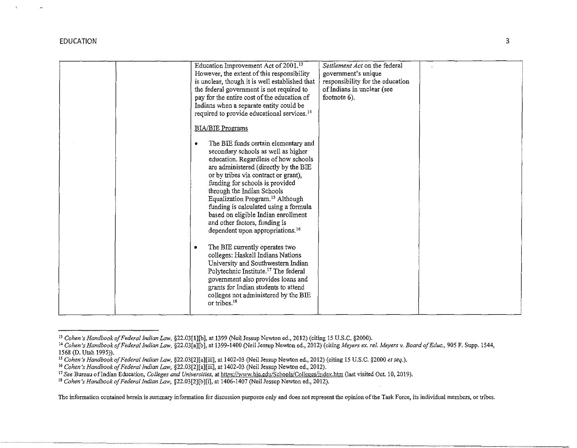$\mathcal{A}$ 

|  | Education Improvement Act of 2001. <sup>13</sup><br>However, the extent of this responsibility<br>is unclear, though it is well established that<br>the federal government is not required to<br>pay for the entire cost of the education of<br>Indians when a separate entity could be                                                                                                                                                                                                                                      | Settlement Act on the federal<br>government's unique<br>responsibility for the education<br>of Indians in unclear (see<br>footnote $6$ ). |  |
|--|------------------------------------------------------------------------------------------------------------------------------------------------------------------------------------------------------------------------------------------------------------------------------------------------------------------------------------------------------------------------------------------------------------------------------------------------------------------------------------------------------------------------------|-------------------------------------------------------------------------------------------------------------------------------------------|--|
|  | required to provide educational services. <sup>14</sup><br><b>BIA/BIE</b> Programs<br>The BIE funds certain elementary and<br>secondary schools as well as higher<br>education. Regardless of how schools<br>are administered (directly by the BIE<br>or by tribes via contract or grant),<br>funding for schools is provided<br>through the Indian Schools<br>Equalization Program. <sup>15</sup> Although<br>funding is calculated using a formula<br>based on eligible Indian enrollment<br>and other factors, funding is |                                                                                                                                           |  |
|  | dependent upon appropriations. <sup>16</sup><br>The BIE currently operates two<br>colleges: Haskell Indians Nations<br>University and Southwestern Indian<br>Polytechnic Institute. <sup>17</sup> The federal<br>government also provides loans and<br>grants for Indian students to attend<br>colleges not administered by the BIE<br>or tribes. <sup>18</sup>                                                                                                                                                              |                                                                                                                                           |  |

**The information contained herein is summary information for discussion purposes only and does not represent the opinion of the Task Force, its individual members, or tribes.** 

<sup>&</sup>lt;sup>13</sup> Cohen's Handbook of Federal Indian Law, §22.03[1][b], at 1399 (Neil Jessup Newton ed., 2012) (citing 15 U.S.C. §2000).<br><sup>14</sup> Cohen's Handbook of Federal Indian Law, §22.03[a][b], at 1399-1400 (Neil Jessup Newton ed., 2

<sup>&</sup>lt;sup>15</sup> Cohen's Handbook of Federal Indian Law, §22.03[2][a][iii], at 1402-03 (Neil Jessup Newton ed., 2012) (citing 15 U.S.C. §2000 et seq.).

<sup>&</sup>lt;sup>16</sup> Cohen's Handbook of Federal Indian Law, §22.03[2][a][iii], at 1402-03 (Neil Jessup Newton ed., 2012).

<sup>&</sup>lt;sup>17</sup> See Bureau of Indian Education, *Colleges and Universities*, at <u>https://www.bie.edu/Schools/Colleges/index.htm</u> (last visited Oct. 10, 2019).

<sup>18</sup>*Cohen's Handbook of Federal Indian Law,* §22.03[2][b][i], at 1406-1407 (Neil Jessup Newton ed., 2012).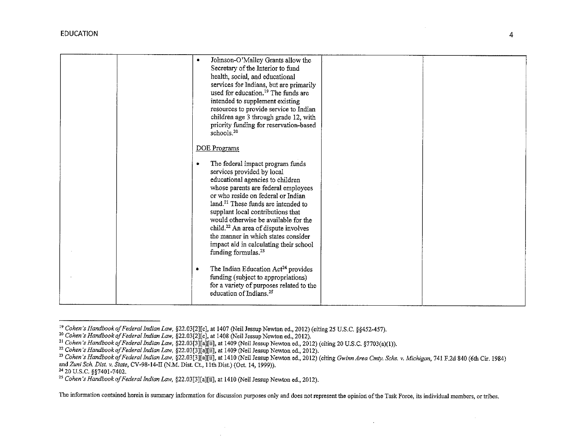|  | Johnson-O'Malley Grants allow the<br>Secretary of the Interior to fund<br>health, social, and educational<br>services for Indians, but are primarily<br>used for education. <sup>19</sup> The funds are<br>intended to supplement existing<br>resources to provide service to Indian<br>children age 3 through grade 12, with<br>priority funding for reservation-based |  |
|--|-------------------------------------------------------------------------------------------------------------------------------------------------------------------------------------------------------------------------------------------------------------------------------------------------------------------------------------------------------------------------|--|
|  | schools. <sup>20</sup>                                                                                                                                                                                                                                                                                                                                                  |  |
|  |                                                                                                                                                                                                                                                                                                                                                                         |  |
|  |                                                                                                                                                                                                                                                                                                                                                                         |  |
|  | DOE Programs                                                                                                                                                                                                                                                                                                                                                            |  |
|  |                                                                                                                                                                                                                                                                                                                                                                         |  |
|  | The federal impact program funds<br>٠                                                                                                                                                                                                                                                                                                                                   |  |
|  | services provided by local                                                                                                                                                                                                                                                                                                                                              |  |
|  |                                                                                                                                                                                                                                                                                                                                                                         |  |
|  | educational agencies to children                                                                                                                                                                                                                                                                                                                                        |  |
|  | whose parents are federal employees                                                                                                                                                                                                                                                                                                                                     |  |
|  | or who reside on federal or Indian                                                                                                                                                                                                                                                                                                                                      |  |
|  | land. <sup>21</sup> These funds are intended to                                                                                                                                                                                                                                                                                                                         |  |
|  |                                                                                                                                                                                                                                                                                                                                                                         |  |
|  | supplant local contributions that                                                                                                                                                                                                                                                                                                                                       |  |
|  | would otherwise be available for the                                                                                                                                                                                                                                                                                                                                    |  |
|  | child. <sup>22</sup> An area of dispute involves                                                                                                                                                                                                                                                                                                                        |  |
|  | the manner in which states consider                                                                                                                                                                                                                                                                                                                                     |  |
|  | impact aid in calculating their school                                                                                                                                                                                                                                                                                                                                  |  |
|  | funding formulas. <sup>23</sup>                                                                                                                                                                                                                                                                                                                                         |  |
|  |                                                                                                                                                                                                                                                                                                                                                                         |  |
|  |                                                                                                                                                                                                                                                                                                                                                                         |  |
|  | The Indian Education Act <sup>24</sup> provides<br>٠                                                                                                                                                                                                                                                                                                                    |  |
|  | funding (subject to appropriations)                                                                                                                                                                                                                                                                                                                                     |  |
|  | for a variety of purposes related to the                                                                                                                                                                                                                                                                                                                                |  |
|  | education of Indians. <sup>25</sup>                                                                                                                                                                                                                                                                                                                                     |  |
|  |                                                                                                                                                                                                                                                                                                                                                                         |  |
|  |                                                                                                                                                                                                                                                                                                                                                                         |  |

 $\sim$ 

The information contained herein is summary information for discussion purposes only and does not represent the opinion of the Task Force, its individual members, or tribes.

 $\sim$ 

<sup>&</sup>lt;sup>19</sup> Cohen's Handbook of Federal Indian Law, §22.03[2][c], at 1407 (Neil Jessup Newton ed., 2012) (citing 25 U.S.C. §§452-457).<br><sup>20</sup> Cohen's Handbook of Federal Indian Law, §22.03[2][c], at 1408 (Neil Jessup Newton ed., 20 <sup>23</sup> Cohen's Handbook of Federal Indian Law, §22.03[3][a][ii], at 1410 (Neil Jessup Newton ed., 2012) (citing Gwinn Area Cmty. Schs. v. Michigan, 741 F.2d 840 (6th Cir. 1984) and Zuni Sch. Dist. v. State, CV-98-14-II (N.M.

<sup>&</sup>lt;sup>25</sup> Cohen's Handbook of Federal Indian Law, §22.03[3][a][ii], at 1410 (Neil Jessup Newton ed., 2012).